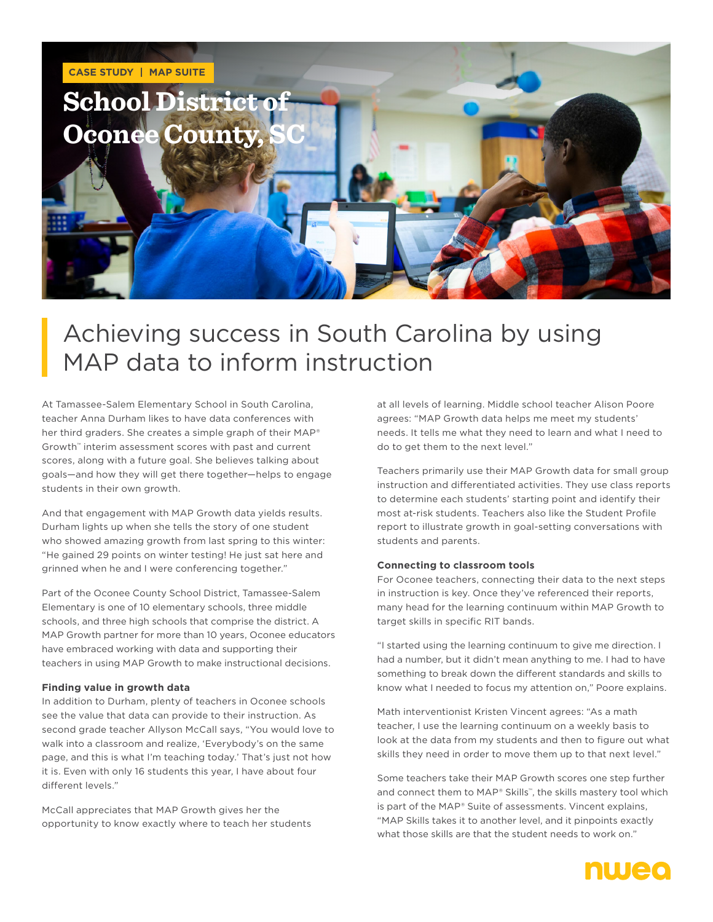

# Achieving success in South Carolina by using MAP data to inform instruction

At Tamassee-Salem Elementary School in South Carolina, teacher Anna Durham likes to have data conferences with her third graders. She creates a simple graph of their MAP® Growth™ interim assessment scores with past and current scores, along with a future goal. She believes talking about goals—and how they will get there together—helps to engage students in their own growth.

And that engagement with MAP Growth data yields results. Durham lights up when she tells the story of one student who showed amazing growth from last spring to this winter: "He gained 29 points on winter testing! He just sat here and grinned when he and I were conferencing together."

Part of the Oconee County School District, Tamassee-Salem Elementary is one of 10 elementary schools, three middle schools, and three high schools that comprise the district. A MAP Growth partner for more than 10 years, Oconee educators have embraced working with data and supporting their teachers in using MAP Growth to make instructional decisions.

#### **Finding value in growth data**

In addition to Durham, plenty of teachers in Oconee schools see the value that data can provide to their instruction. As second grade teacher Allyson McCall says, "You would love to walk into a classroom and realize, 'Everybody's on the same page, and this is what I'm teaching today.' That's just not how it is. Even with only 16 students this year, I have about four different levels."

McCall appreciates that MAP Growth gives her the opportunity to know exactly where to teach her students at all levels of learning. Middle school teacher Alison Poore agrees: "MAP Growth data helps me meet my students' needs. It tells me what they need to learn and what I need to do to get them to the next level."

Teachers primarily use their MAP Growth data for small group instruction and differentiated activities. They use class reports to determine each students' starting point and identify their most at-risk students. Teachers also like the Student Profile report to illustrate growth in goal-setting conversations with students and parents.

#### **Connecting to classroom tools**

For Oconee teachers, connecting their data to the next steps in instruction is key. Once they've referenced their reports, many head for the learning continuum within MAP Growth to target skills in specific RIT bands.

"I started using the learning continuum to give me direction. I had a number, but it didn't mean anything to me. I had to have something to break down the different standards and skills to know what I needed to focus my attention on," Poore explains.

Math interventionist Kristen Vincent agrees: "As a math teacher, I use the learning continuum on a weekly basis to look at the data from my students and then to figure out what skills they need in order to move them up to that next level."

Some teachers take their MAP Growth scores one step further and connect them to MAP® Skills™, the skills mastery tool which is part of the MAP® Suite of assessments. Vincent explains, "MAP Skills takes it to another level, and it pinpoints exactly what those skills are that the student needs to work on."